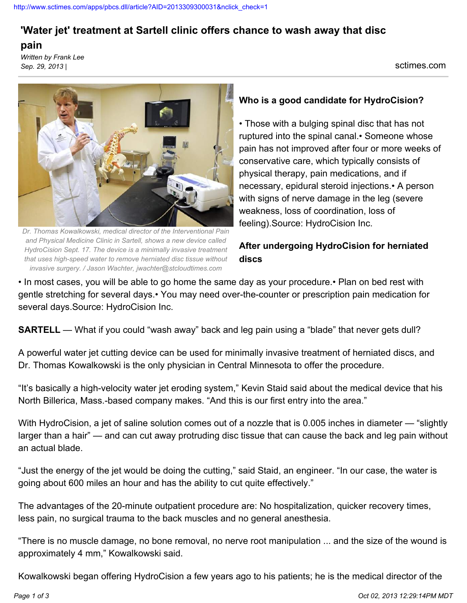## **'Water jet' treatment at Sartell clinic offers chance to wash away that disc**

### **pain**

*Written by Frank Lee Sep. 29, 2013 |* sctimes.com

*Dr. Thomas Kowalkowski, medical director of the Interventional Pain and Physical Medicine Clinic in Sartell, shows a new device called HydroCision Sept. 17. The device is a minimally invasive treatment that uses high-speed water to remove herniated disc tissue without invasive surgery. / Jason Wachter, jwachter@stcloudtimes.com*

#### **Who is a good candidate for HydroCision?**

• Those with a bulging spinal disc that has not ruptured into the spinal canal.• Someone whose pain has not improved after four or more weeks of conservative care, which typically consists of physical therapy, pain medications, and if necessary, epidural steroid injections.• A person with signs of nerve damage in the leg (severe weakness, loss of coordination, loss of feeling).Source: HydroCision Inc.

## **After undergoing HydroCision for herniated discs**

• In most cases, you will be able to go home the same day as your procedure.• Plan on bed rest with gentle stretching for several days.• You may need over-the-counter or prescription pain medication for several days.Source: HydroCision Inc.

**SARTELL** — What if you could "wash away" back and leg pain using a "blade" that never gets dull?

A powerful water jet cutting device can be used for minimally invasive treatment of herniated discs, and Dr. Thomas Kowalkowski is the only physician in Central Minnesota to offer the procedure.

"It's basically a high-velocity water jet eroding system," Kevin Staid said about the medical device that his North Billerica, Mass.-based company makes. "And this is our first entry into the area."

With HydroCision, a jet of saline solution comes out of a nozzle that is 0.005 inches in diameter — "slightly larger than a hair" — and can cut away protruding disc tissue that can cause the back and leg pain without an actual blade.

"Just the energy of the jet would be doing the cutting," said Staid, an engineer. "In our case, the water is going about 600 miles an hour and has the ability to cut quite effectively."

The advantages of the 20-minute outpatient procedure are: No hospitalization, quicker recovery times, less pain, no surgical trauma to the back muscles and no general anesthesia.

"There is no muscle damage, no bone removal, no nerve root manipulation ... and the size of the wound is approximately 4 mm," Kowalkowski said.

Kowalkowski began offering HydroCision a few years ago to his patients; he is the medical director of the

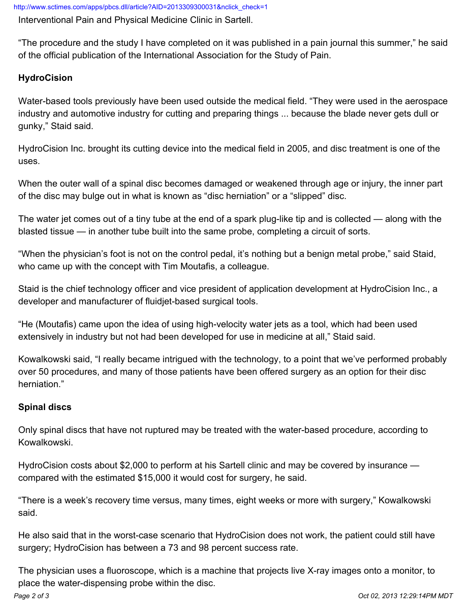Interventional Pain and Physical Medicine Clinic in Sartell.

"The procedure and the study I have completed on it was published in a pain journal this summer," he said of the official publication of the International Association for the Study of Pain.

### **HydroCision**

Water-based tools previously have been used outside the medical field. "They were used in the aerospace industry and automotive industry for cutting and preparing things ... because the blade never gets dull or gunky," Staid said.

HydroCision Inc. brought its cutting device into the medical field in 2005, and disc treatment is one of the uses.

When the outer wall of a spinal disc becomes damaged or weakened through age or injury, the inner part of the disc may bulge out in what is known as "disc herniation" or a "slipped" disc.

The water jet comes out of a tiny tube at the end of a spark plug-like tip and is collected — along with the blasted tissue — in another tube built into the same probe, completing a circuit of sorts.

"When the physician's foot is not on the control pedal, it's nothing but a benign metal probe," said Staid, who came up with the concept with Tim Moutafis, a colleague.

Staid is the chief technology officer and vice president of application development at HydroCision Inc., a developer and manufacturer of fluidjet-based surgical tools.

"He (Moutafis) came upon the idea of using high-velocity water jets as a tool, which had been used extensively in industry but not had been developed for use in medicine at all," Staid said.

Kowalkowski said, "I really became intrigued with the technology, to a point that we've performed probably over 50 procedures, and many of those patients have been offered surgery as an option for their disc herniation."

## **Spinal discs**

Only spinal discs that have not ruptured may be treated with the water-based procedure, according to Kowalkowski.

HydroCision costs about \$2,000 to perform at his Sartell clinic and may be covered by insurance compared with the estimated \$15,000 it would cost for surgery, he said.

"There is a week's recovery time versus, many times, eight weeks or more with surgery," Kowalkowski said.

He also said that in the worst-case scenario that HydroCision does not work, the patient could still have surgery; HydroCision has between a 73 and 98 percent success rate.

The physician uses a fluoroscope, which is a machine that projects live X-ray images onto a monitor, to place the water-dispensing probe within the disc.